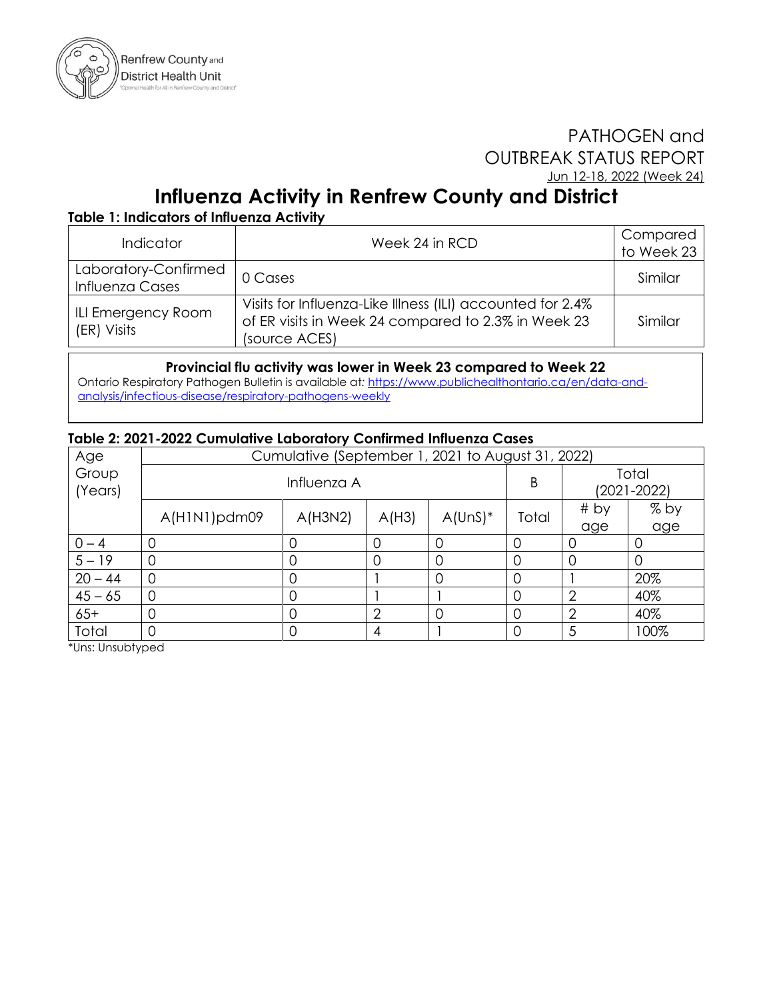

## PATHOGEN and OUTBREAK STATUS REPORT Jun 12-18, 2022 (Week 24)

# **Influenza Activity in Renfrew County and District**

### **Table 1: Indicators of Influenza Activity**

| <b>Indicator</b>                        | Week 24 in RCD                                                                                                                     | Compared<br>to Week 23 |
|-----------------------------------------|------------------------------------------------------------------------------------------------------------------------------------|------------------------|
| Laboratory-Confirmed<br>Influenza Cases | 0 Cases                                                                                                                            | Similar                |
| ILI Emergency Room<br>(ER) Visits       | Visits for Influenza-Like Illness (ILI) accounted for 2.4%<br>of ER visits in Week 24 compared to 2.3% in Week 23<br>(source ACES) | Similar                |

#### **Provincial flu activity was lower in Week 23 compared to Week 22**

Ontario Respiratory Pathogen Bulletin is available at*:* [https://www.publichealthontario.ca/en/data-and](https://www.publichealthontario.ca/en/data-and-analysis/infectious-disease/respiratory-pathogens-weekly)[analysis/infectious-disease/respiratory-pathogens-weekly](https://www.publichealthontario.ca/en/data-and-analysis/infectious-disease/respiratory-pathogens-weekly)

#### **Table 2: 2021-2022 Cumulative Laboratory Confirmed Influenza Cases**

| Age              | Cumulative (September 1, 2021 to August 31, 2022) |         |                |            |          |                          |      |  |  |
|------------------|---------------------------------------------------|---------|----------------|------------|----------|--------------------------|------|--|--|
| Group<br>(Years) | Influenza A                                       |         |                |            | Β        | Total<br>$(2021 - 2022)$ |      |  |  |
|                  | A(HINI)pdm09                                      | A(H3N2) | A(H3)          | $A$ (UnS)* | Total    | # by                     | % by |  |  |
|                  |                                                   |         |                |            |          | age                      | age  |  |  |
| $0 - 4$          |                                                   | U       |                |            |          | O                        |      |  |  |
| $5 - 19$         |                                                   | 0       | 0              | 0          | 0        | 0                        |      |  |  |
| $20 - 44$        | 0                                                 | 0       |                | 0          | $\Omega$ |                          | 20%  |  |  |
| $45 - 65$        |                                                   | 0       |                |            |          | 2                        | 40%  |  |  |
| $65+$            |                                                   | 0       | $\overline{2}$ | 0          | 0        | $\overline{2}$           | 40%  |  |  |
| Total            |                                                   | O       | 4              |            | $\Omega$ | 5                        | 100% |  |  |

\*Uns: Unsubtyped